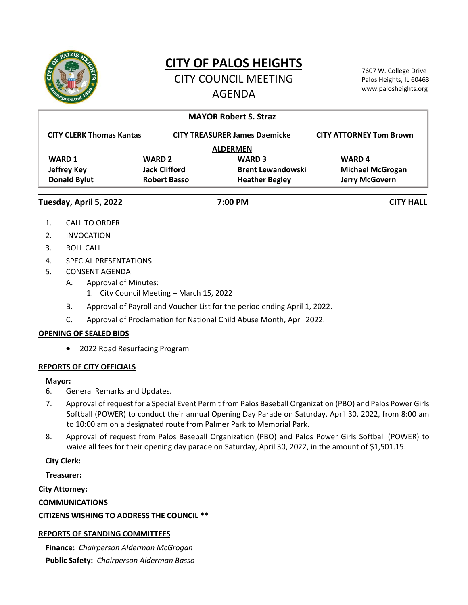

# **CITY OF PALOS HEIGHTS**

CITY COUNCIL MEETING AGENDA

7607 W. College Drive Palos Heights, IL 60463 www.palosheights.org

| <b>MAYOR Robert S. Straz</b>    |                      |                                      |                                |
|---------------------------------|----------------------|--------------------------------------|--------------------------------|
| <b>CITY CLERK Thomas Kantas</b> |                      | <b>CITY TREASURER James Daemicke</b> | <b>CITY ATTORNEY Tom Brown</b> |
| <b>ALDERMEN</b>                 |                      |                                      |                                |
| <b>WARD 1</b>                   | <b>WARD 2</b>        | <b>WARD 3</b>                        | <b>WARD4</b>                   |
| <b>Jeffrey Key</b>              | <b>Jack Clifford</b> | <b>Brent Lewandowski</b>             | <b>Michael McGrogan</b>        |
| <b>Donald Bylut</b>             | <b>Robert Basso</b>  | <b>Heather Begley</b>                | <b>Jerry McGovern</b>          |
| Tuesday, April 5, 2022          | 7:00 PM              |                                      | <b>CITY HALL</b>               |

- 1. CALL TO ORDER
- 2. INVOCATION
- 3. ROLL CALL
- 4. SPECIAL PRESENTATIONS
- 5. CONSENT AGENDA
	- A. Approval of Minutes:
		- 1. City Council Meeting March 15, 2022
	- B. Approval of Payroll and Voucher List for the period ending April 1, 2022.
	- C. Approval of Proclamation for National Child Abuse Month, April 2022.

#### **OPENING OF SEALED BIDS**

2022 Road Resurfacing Program

#### **REPORTS OF CITY OFFICIALS**

#### **Mayor:**

- 6. General Remarks and Updates.
- 7. Approval of request for a Special Event Permit from Palos Baseball Organization (PBO) and Palos Power Girls Softball (POWER) to conduct their annual Opening Day Parade on Saturday, April 30, 2022, from 8:00 am to 10:00 am on a designated route from Palmer Park to Memorial Park.
- 8. Approval of request from Palos Baseball Organization (PBO) and Palos Power Girls Softball (POWER) to waive all fees for their opening day parade on Saturday, April 30, 2022, in the amount of \$1,501.15.

#### **City Clerk:**

**Treasurer:**

**City Attorney:**

**COMMUNICATIONS**

# **CITIZENS WISHING TO ADDRESS THE COUNCIL \*\***

# **REPORTS OF STANDING COMMITTEES**

**Finance:** *Chairperson Alderman McGrogan* **Public Safety:** *Chairperson Alderman Basso*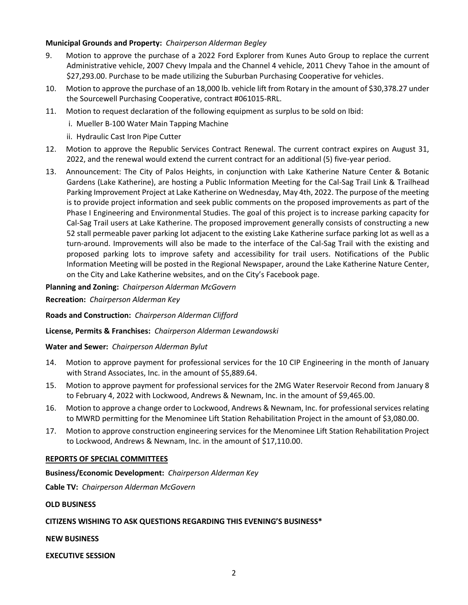#### **Municipal Grounds and Property:** *Chairperson Alderman Begley*

- 9. Motion to approve the purchase of a 2022 Ford Explorer from Kunes Auto Group to replace the current Administrative vehicle, 2007 Chevy Impala and the Channel 4 vehicle, 2011 Chevy Tahoe in the amount of \$27,293.00. Purchase to be made utilizing the Suburban Purchasing Cooperative for vehicles.
- 10. Motion to approve the purchase of an 18,000 lb. vehicle lift from Rotary in the amount of \$30,378.27 under the Sourcewell Purchasing Cooperative, contract #061015-RRL.
- 11. Motion to request declaration of the following equipment as surplus to be sold on Ibid:
	- i. Mueller B-100 Water Main Tapping Machine
	- ii. Hydraulic Cast Iron Pipe Cutter
- 12. Motion to approve the Republic Services Contract Renewal. The current contract expires on August 31, 2022, and the renewal would extend the current contract for an additional (5) five-year period.
- 13. Announcement: The City of Palos Heights, in conjunction with Lake Katherine Nature Center & Botanic Gardens (Lake Katherine), are hosting a Public Information Meeting for the Cal-Sag Trail Link & Trailhead Parking Improvement Project at Lake Katherine on Wednesday, May 4th, 2022. The purpose of the meeting is to provide project information and seek public comments on the proposed improvements as part of the Phase I Engineering and Environmental Studies. The goal of this project is to increase parking capacity for Cal-Sag Trail users at Lake Katherine. The proposed improvement generally consists of constructing a new 52 stall permeable paver parking lot adjacent to the existing Lake Katherine surface parking lot as well as a turn-around. Improvements will also be made to the interface of the Cal-Sag Trail with the existing and proposed parking lots to improve safety and accessibility for trail users. Notifications of the Public Information Meeting will be posted in the Regional Newspaper, around the Lake Katherine Nature Center, on the City and Lake Katherine websites, and on the City's Facebook page.

#### **Planning and Zoning:** *Chairperson Alderman McGovern*

**Recreation:** *Chairperson Alderman Key*

**Roads and Construction:** *Chairperson Alderman Clifford*

**License, Permits & Franchises:** *Chairperson Alderman Lewandowski*

#### **Water and Sewer:** *Chairperson Alderman Bylut*

- 14. Motion to approve payment for professional services for the 10 CIP Engineering in the month of January with Strand Associates, Inc. in the amount of \$5,889.64.
- 15. Motion to approve payment for professional services for the 2MG Water Reservoir Recond from January 8 to February 4, 2022 with Lockwood, Andrews & Newnam, Inc. in the amount of \$9,465.00.
- 16. Motion to approve a change order to Lockwood, Andrews & Newnam, Inc. for professional services relating to MWRD permitting for the Menominee Lift Station Rehabilitation Project in the amount of \$3,080.00.
- 17. Motion to approve construction engineering services for the Menominee Lift Station Rehabilitation Project to Lockwood, Andrews & Newnam, Inc. in the amount of \$17,110.00.

#### **REPORTS OF SPECIAL COMMITTEES**

**Business/Economic Development:** *Chairperson Alderman Key*

**Cable TV:** *Chairperson Alderman McGovern*

#### **OLD BUSINESS**

## **CITIZENS WISHING TO ASK QUESTIONS REGARDING THIS EVENING'S BUSINESS\***

**NEW BUSINESS**

**EXECUTIVE SESSION**